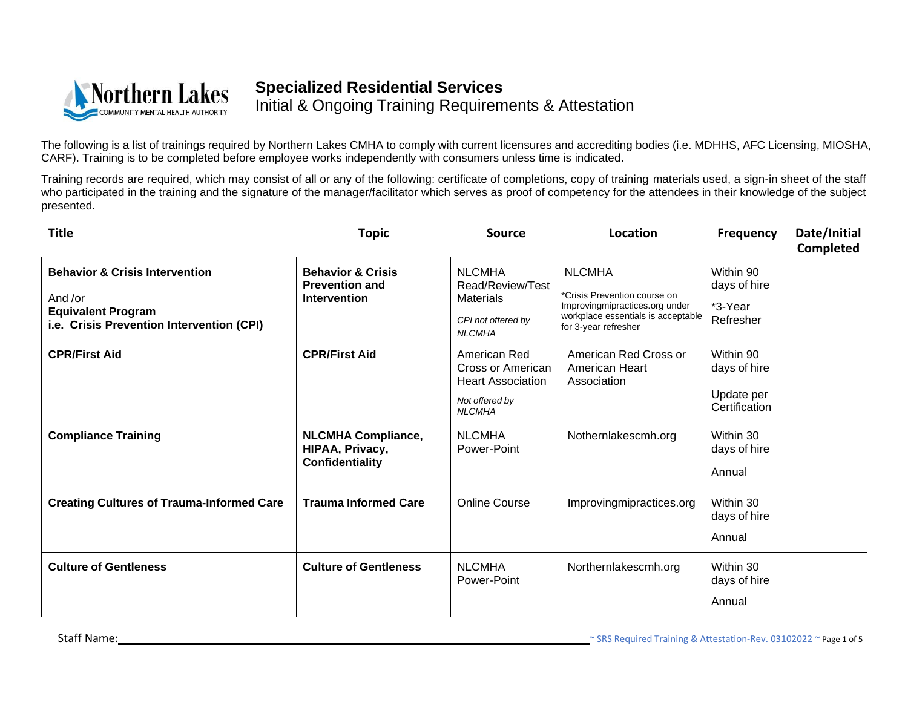

The following is a list of trainings required by Northern Lakes CMHA to comply with current licensures and accrediting bodies (i.e. MDHHS, AFC Licensing, MIOSHA, CARF). Training is to be completed before employee works independently with consumers unless time is indicated.

| <b>Title</b>                                                                                                                   | <b>Topic</b>                                                                 | <b>Source</b>                                                                                    | Location                                                                                                                                      | <b>Frequency</b>                                         | Date/Initial<br>Completed |
|--------------------------------------------------------------------------------------------------------------------------------|------------------------------------------------------------------------------|--------------------------------------------------------------------------------------------------|-----------------------------------------------------------------------------------------------------------------------------------------------|----------------------------------------------------------|---------------------------|
| <b>Behavior &amp; Crisis Intervention</b><br>And /or<br><b>Equivalent Program</b><br>i.e. Crisis Prevention Intervention (CPI) | <b>Behavior &amp; Crisis</b><br><b>Prevention and</b><br><b>Intervention</b> | <b>NLCMHA</b><br>Read/Review/Test<br><b>Materials</b><br>CPI not offered by<br><b>NLCMHA</b>     | <b>NLCMHA</b><br>*Crisis Prevention course on<br>Improvingmipractices.org under<br>workplace essentials is acceptable<br>for 3-year refresher | Within 90<br>days of hire<br>*3-Year<br>Refresher        |                           |
| <b>CPR/First Aid</b>                                                                                                           | <b>CPR/First Aid</b>                                                         | American Red<br>Cross or American<br><b>Heart Association</b><br>Not offered by<br><b>NLCMHA</b> | American Red Cross or<br>American Heart<br>Association                                                                                        | Within 90<br>days of hire<br>Update per<br>Certification |                           |
| <b>Compliance Training</b>                                                                                                     | <b>NLCMHA Compliance,</b><br>HIPAA, Privacy,<br>Confidentiality              | <b>NLCMHA</b><br>Power-Point                                                                     | Nothernlakescmh.org                                                                                                                           | Within 30<br>days of hire<br>Annual                      |                           |
| <b>Creating Cultures of Trauma-Informed Care</b>                                                                               | <b>Trauma Informed Care</b>                                                  | <b>Online Course</b>                                                                             | Improvingmipractices.org                                                                                                                      | Within 30<br>days of hire<br>Annual                      |                           |
| <b>Culture of Gentleness</b>                                                                                                   | <b>Culture of Gentleness</b>                                                 | <b>NLCMHA</b><br>Power-Point                                                                     | Northernlakescmh.org                                                                                                                          | Within 30<br>days of hire<br>Annual                      |                           |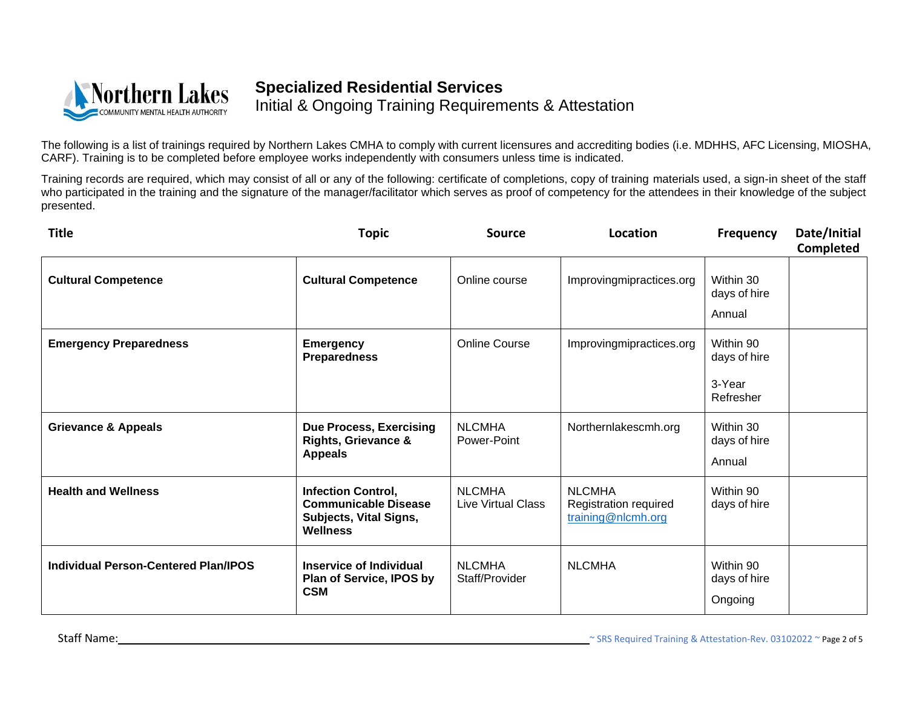

The following is a list of trainings required by Northern Lakes CMHA to comply with current licensures and accrediting bodies (i.e. MDHHS, AFC Licensing, MIOSHA, CARF). Training is to be completed before employee works independently with consumers unless time is indicated.

| <b>Title</b>                                | <b>Topic</b>                                                                                                 | <b>Source</b>                              | Location                                                     | <b>Frequency</b>                                 | Date/Initial<br>Completed |
|---------------------------------------------|--------------------------------------------------------------------------------------------------------------|--------------------------------------------|--------------------------------------------------------------|--------------------------------------------------|---------------------------|
| <b>Cultural Competence</b>                  | <b>Cultural Competence</b>                                                                                   | Online course                              | Improvingmipractices.org                                     | Within 30<br>days of hire<br>Annual              |                           |
| <b>Emergency Preparedness</b>               | <b>Emergency</b><br><b>Preparedness</b>                                                                      | <b>Online Course</b>                       | Improvingmipractices.org                                     | Within 90<br>days of hire<br>3-Year<br>Refresher |                           |
| <b>Grievance &amp; Appeals</b>              | <b>Due Process, Exercising</b><br><b>Rights, Grievance &amp;</b><br><b>Appeals</b>                           | <b>NLCMHA</b><br>Power-Point               | Northernlakescmh.org                                         | Within 30<br>days of hire<br>Annual              |                           |
| <b>Health and Wellness</b>                  | <b>Infection Control,</b><br><b>Communicable Disease</b><br><b>Subjects, Vital Signs,</b><br><b>Wellness</b> | <b>NLCMHA</b><br><b>Live Virtual Class</b> | <b>NLCMHA</b><br>Registration required<br>training@nlcmh.org | Within 90<br>days of hire                        |                           |
| <b>Individual Person-Centered Plan/IPOS</b> | <b>Inservice of Individual</b><br>Plan of Service, IPOS by<br><b>CSM</b>                                     | <b>NLCMHA</b><br>Staff/Provider            | <b>NLCMHA</b>                                                | Within 90<br>days of hire<br>Ongoing             |                           |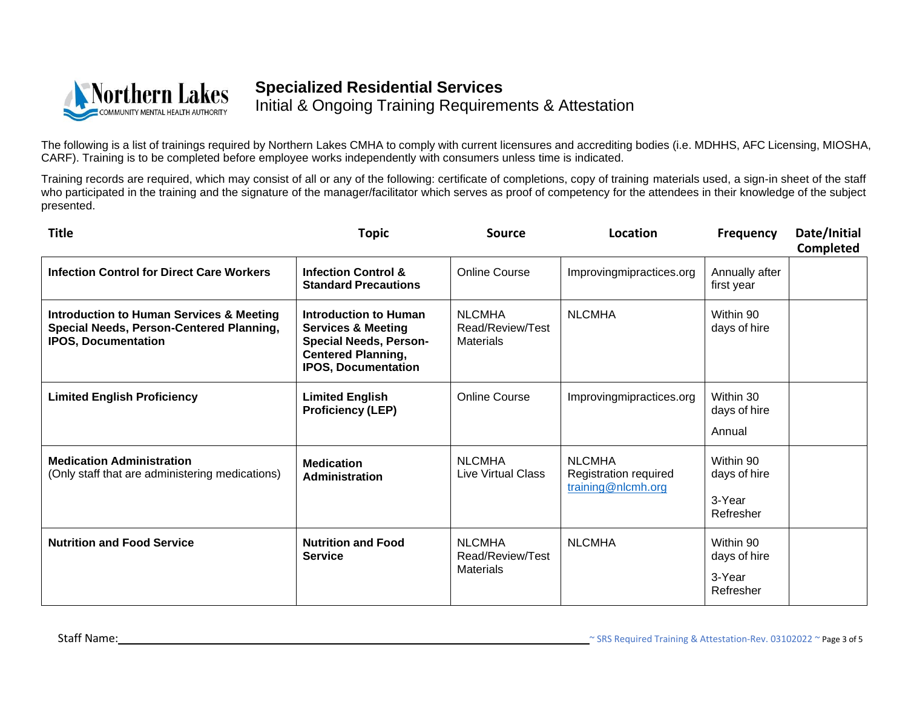

The following is a list of trainings required by Northern Lakes CMHA to comply with current licensures and accrediting bodies (i.e. MDHHS, AFC Licensing, MIOSHA, CARF). Training is to be completed before employee works independently with consumers unless time is indicated.

| <b>Title</b>                                                                                                                  | <b>Topic</b>                                                                                                                                       | <b>Source</b>                                         | Location                                                     | <b>Frequency</b>                                 | Date/Initial<br>Completed |
|-------------------------------------------------------------------------------------------------------------------------------|----------------------------------------------------------------------------------------------------------------------------------------------------|-------------------------------------------------------|--------------------------------------------------------------|--------------------------------------------------|---------------------------|
| <b>Infection Control for Direct Care Workers</b>                                                                              | <b>Infection Control &amp;</b><br><b>Standard Precautions</b>                                                                                      | <b>Online Course</b>                                  | Improvingmipractices.org                                     | Annually after<br>first year                     |                           |
| <b>Introduction to Human Services &amp; Meeting</b><br>Special Needs, Person-Centered Planning,<br><b>IPOS, Documentation</b> | Introduction to Human<br><b>Services &amp; Meeting</b><br><b>Special Needs, Person-</b><br><b>Centered Planning,</b><br><b>IPOS, Documentation</b> | <b>NLCMHA</b><br>Read/Review/Test<br><b>Materials</b> | <b>NLCMHA</b>                                                | Within 90<br>days of hire                        |                           |
| <b>Limited English Proficiency</b>                                                                                            | <b>Limited English</b><br><b>Proficiency (LEP)</b>                                                                                                 | <b>Online Course</b>                                  | Improvingmipractices.org                                     | Within 30<br>days of hire<br>Annual              |                           |
| <b>Medication Administration</b><br>(Only staff that are administering medications)                                           | <b>Medication</b><br>Administration                                                                                                                | <b>NLCMHA</b><br><b>Live Virtual Class</b>            | <b>NLCMHA</b><br>Registration required<br>training@nlcmh.org | Within 90<br>days of hire<br>3-Year<br>Refresher |                           |
| <b>Nutrition and Food Service</b>                                                                                             | <b>Nutrition and Food</b><br><b>Service</b>                                                                                                        | <b>NLCMHA</b><br>Read/Review/Test<br><b>Materials</b> | <b>NLCMHA</b>                                                | Within 90<br>days of hire<br>3-Year<br>Refresher |                           |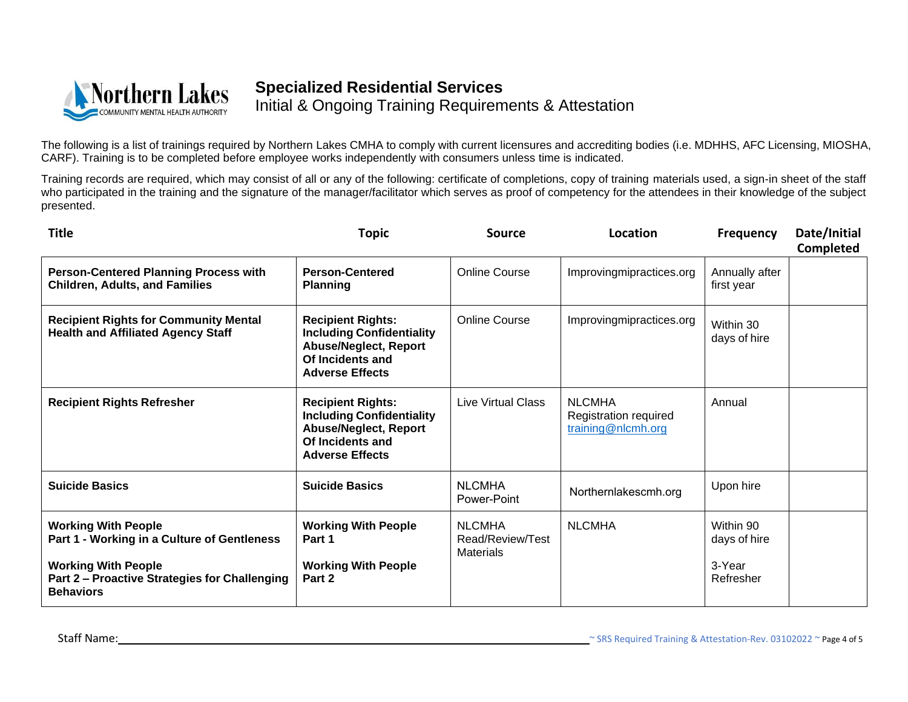

The following is a list of trainings required by Northern Lakes CMHA to comply with current licensures and accrediting bodies (i.e. MDHHS, AFC Licensing, MIOSHA, CARF). Training is to be completed before employee works independently with consumers unless time is indicated.

|                                                       |                                                              |                                                  | <b>Completed</b> |
|-------------------------------------------------------|--------------------------------------------------------------|--------------------------------------------------|------------------|
| <b>Online Course</b>                                  | Improvingmipractices.org                                     | Annually after<br>first year                     |                  |
| <b>Online Course</b>                                  | Improvingmipractices.org                                     | Within 30<br>days of hire                        |                  |
| <b>Live Virtual Class</b>                             | <b>NLCMHA</b><br>Registration required<br>training@nlcmh.org | Annual                                           |                  |
| <b>NLCMHA</b><br>Power-Point                          | Northernlakescmh.org                                         | Upon hire                                        |                  |
| <b>NLCMHA</b><br>Read/Review/Test<br><b>Materials</b> | <b>NLCMHA</b>                                                | Within 90<br>days of hire<br>3-Year<br>Refresher |                  |
|                                                       |                                                              |                                                  |                  |